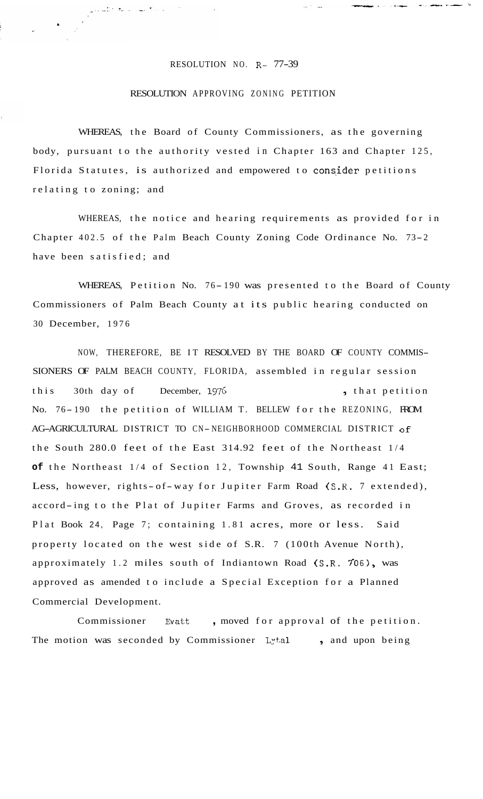## RESOLUTION NO. R- 77-39

الدامية مسرا الانتفاع للموادي

## RESOLUTION APPROVING ZONING PETITION

WHEREAS, the Board of County Commissioners, as the governing body, pursuant to the authority vested in Chapter 163 and Chapter 125, Florida Statutes, is authorized and empowered to consider petitions relating to zoning; and

WHEREAS, the notice and hearing requirements as provided for in Chapter 402.5 of the Palm Beach County Zoning Code Ordinance No. 73-2 have been satisfied; and

WHEREAS, Petition No. 76-190 was presented to the Board of County Commissioners of Palm Beach County at its public hearing conducted on 30 December, 1976

NOW, THEREFORE, BE IT RESOLVED BY THE BOARD OF COUNTY COMMIS-SIONERS OF PALM BEACH COUNTY, FLORIDA, assembled in regular session this 30th day of December, 1976 (that petition No. 76-190 the petition of WILLIAM T. BELLEW for the REZONING, FROM AG-AGRICULTURAL DISTRICT TO CN-NEIGHBORHOOD COMMERCIAL DISTRICT of the South 280.0 feet of the East 314.92 feet of the Northeast 1/4 **of** the Northeast 1/4 of Section 12, Township 41 South, Range 41 East; Less, however, rights- of-way for Jupiter Farm Road (S.R. 7 extended), accord-ing to the Plat of Jupiter Farms and Groves, as recorded in Plat Book 24, Page 7; containing 1.81 acres, more or less. Said property located on the west side of S.R. 7 (100th Avenue North), approximately 1.2 miles south of Indiantown Road (S.R. 706), was approved as amended to include a Special Exception for a Planned Commercial Development.

Commissioner Evatt, moved for approval of the petition. The motion was seconded by Commissioner Lytal , and upon being